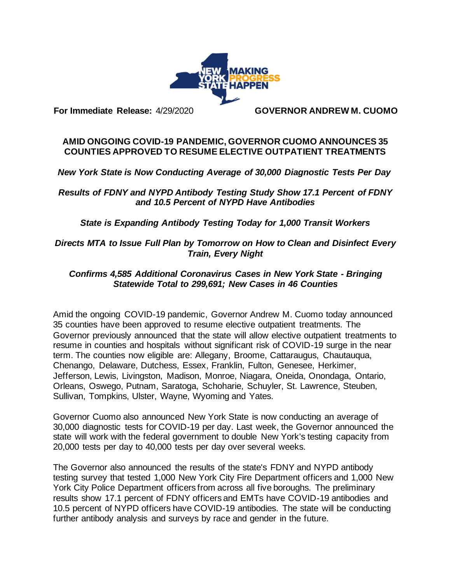

## **For Immediate Release:** 4/29/2020 **GOVERNOR ANDREW M. CUOMO**

## **AMID ONGOING COVID-19 PANDEMIC, GOVERNOR CUOMO ANNOUNCES 35 COUNTIES APPROVED TO RESUME ELECTIVE OUTPATIENT TREATMENTS**

*New York State is Now Conducting Average of 30,000 Diagnostic Tests Per Day*

*Results of FDNY and NYPD Antibody Testing Study Show 17.1 Percent of FDNY and 10.5 Percent of NYPD Have Antibodies*

*State is Expanding Antibody Testing Today for 1,000 Transit Workers*

*Directs MTA to Issue Full Plan by Tomorrow on How to Clean and Disinfect Every Train, Every Night*

## *Confirms 4,585 Additional Coronavirus Cases in New York State - Bringing Statewide Total to 299,691; New Cases in 46 Counties*

Amid the ongoing COVID-19 pandemic, Governor Andrew M. Cuomo today announced 35 counties have been approved to resume elective outpatient treatments. The Governor previously announced that the state will allow elective outpatient treatments to resume in counties and hospitals without significant risk of COVID-19 surge in the near term. The counties now eligible are: Allegany, Broome, Cattaraugus, Chautauqua, Chenango, Delaware, Dutchess, Essex, Franklin, Fulton, Genesee, Herkimer, Jefferson, Lewis, Livingston, Madison, Monroe, Niagara, Oneida, Onondaga, Ontario, Orleans, Oswego, Putnam, Saratoga, Schoharie, Schuyler, St. Lawrence, Steuben, Sullivan, Tompkins, Ulster, Wayne, Wyoming and Yates.

Governor Cuomo also announced New York State is now conducting an average of 30,000 diagnostic tests for COVID-19 per day. Last week, the Governor announced the state will work with the federal government to double New York's testing capacity from 20,000 tests per day to 40,000 tests per day over several weeks.

The Governor also announced the results of the state's FDNY and NYPD antibody testing survey that tested 1,000 New York City Fire Department officers and 1,000 New York City Police Department officers from across all five boroughs. The preliminary results show 17.1 percent of FDNY officers and EMTs have COVID-19 antibodies and 10.5 percent of NYPD officers have COVID-19 antibodies. The state will be conducting further antibody analysis and surveys by race and gender in the future.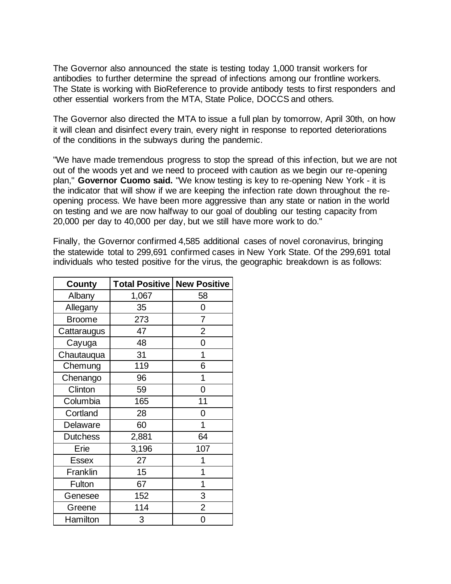The Governor also announced the state is testing today 1,000 transit workers for antibodies to further determine the spread of infections among our frontline workers. The State is working with BioReference to provide antibody tests to first responders and other essential workers from the MTA, State Police, DOCCS and others.

The Governor also directed the MTA to issue a full plan by tomorrow, April 30th, on how it will clean and disinfect every train, every night in response to reported deteriorations of the conditions in the subways during the pandemic.

"We have made tremendous progress to stop the spread of this infection, but we are not out of the woods yet and we need to proceed with caution as we begin our re-opening plan," **Governor Cuomo said.** "We know testing is key to re-opening New York - it is the indicator that will show if we are keeping the infection rate down throughout the reopening process. We have been more aggressive than any state or nation in the world on testing and we are now halfway to our goal of doubling our testing capacity from 20,000 per day to 40,000 per day, but we still have more work to do."

Finally, the Governor confirmed 4,585 additional cases of novel coronavirus, bringing the statewide total to 299,691 confirmed cases in New York State. Of the 299,691 total individuals who tested positive for the virus, the geographic breakdown is as follows:

| County          | <b>Total Positive</b> | <b>New Positive</b> |
|-----------------|-----------------------|---------------------|
| Albany          | 1,067                 | 58                  |
| Allegany        | 35                    | 0                   |
| <b>Broome</b>   | 273                   | 7                   |
| Cattaraugus     | 47                    | 2                   |
| Cayuga          | 48                    | 0                   |
| Chautauqua      | 31                    | 1                   |
| Chemung         | 119                   | 6                   |
| Chenango        | 96                    | 1                   |
| Clinton         | 59                    | 0                   |
| Columbia        | 165                   | 11                  |
| Cortland        | 28                    | 0                   |
| Delaware        | 60                    | 1                   |
| <b>Dutchess</b> | 2,881                 | 64                  |
| Erie            | 3,196                 | 107                 |
| <b>Essex</b>    | 27                    | 1                   |
| Franklin        | 15                    | 1                   |
| Fulton          | 67                    | 1                   |
| Genesee         | 152                   | 3                   |
| Greene          | 114                   | $\overline{2}$      |
| Hamilton        | 3                     | 0                   |